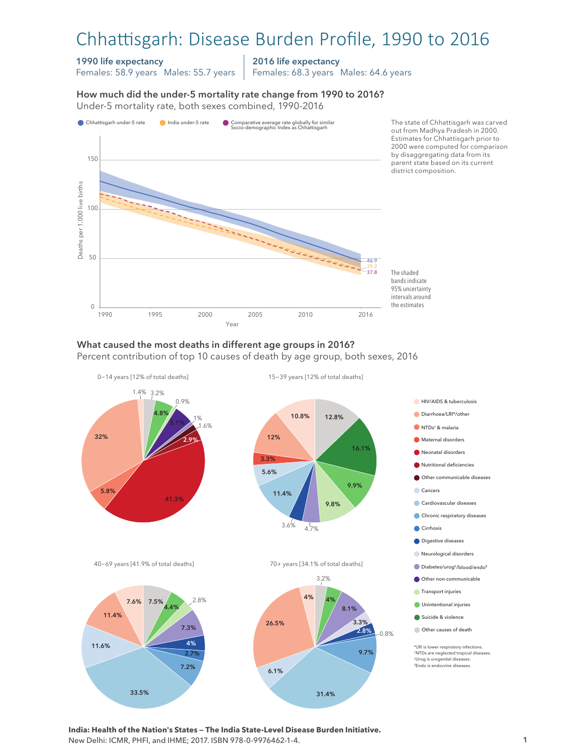# Chhattisgarh: Disease Burden Profile, 1990 to 2016

### 1990 life expectancy

Females: 58.9 years Males: 55.7 years

2016 life expectancy

Females: 68.3 years Males: 64.6 years

# How much did the under-5 mortality rate change from 1990 to 2016?

How much did the under-5 mortality rate change from 1990 to 2016? Under-5 mortality rate, both sexes combined, 1990-2016 Under-5 mortality rate, both sexes combined, 1990-2016



#### What caused the most deaths in different age groups in 2016?

Percent contribution of top 10 causes of death by age group, both sexes, 2016



**India: Health of the Nation's States — The India State-Level Disease Burden Initiative.**  New Delhi: ICMR, PHFI, and IHME; 2017. ISBN 978-0-9976462-1-4.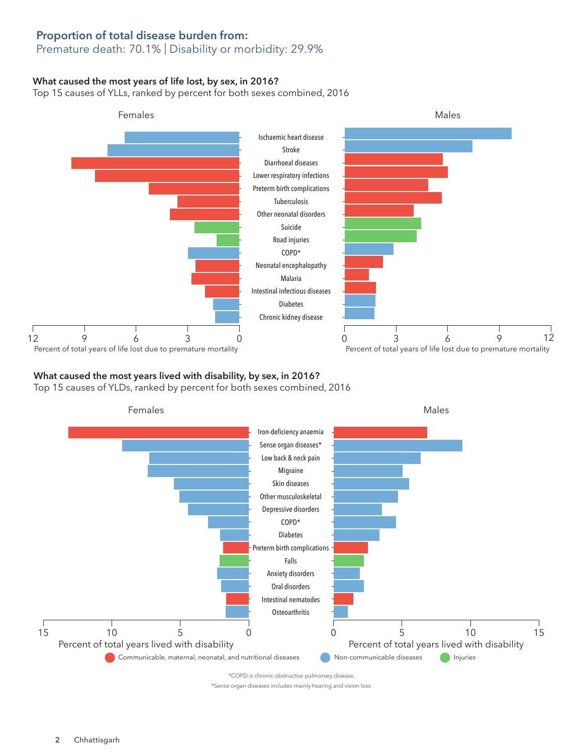# Proportion of total disease burden from:

## Premature death: 70.1% | Disability or morbidity: 29.9%

### What caused the most years of life lost, by sex, in 2016?

Top 15 causes of YLLs, ranked by percent for both sexes combined, 2016



## What caused the most years lived with disability, by sex, in 2016?

Top 15 causes of YLDs, ranked by percent for both sexes combined, 2016



\*Sense organ diseases includes mainly hearing and vision loss.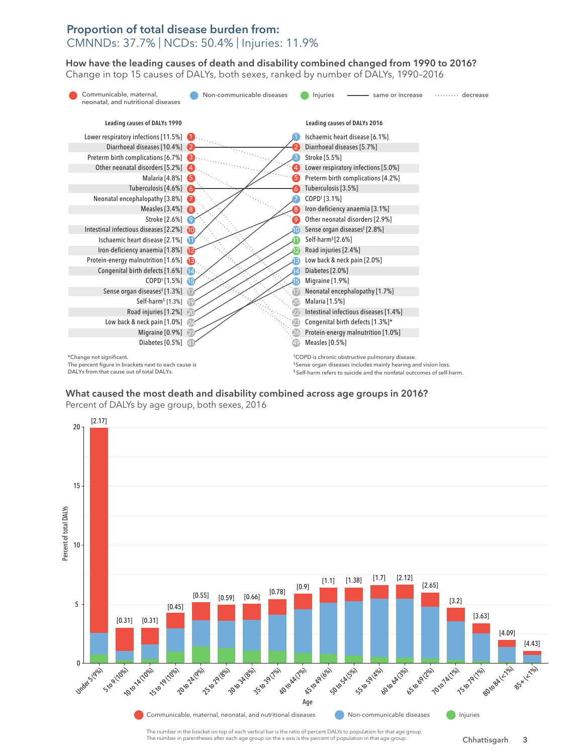## Proportion of total disease burden from: CMNNDs: 37.7% | NCDs: 50.4% | Injuries: 11.9%

How have the leading causes of death and disability combined changed from 1990 to 2016? How have the leading causes of death and disability combined changed from 1990 to 2016? Change in top 15 causes of DALYs, both sexes, ranked by number of DALYs, 1990–2016 Change top 15 causes of DALYs, both sexes, ranked by number of DALYs, 1990–2016



What caused the most death and disability combined across age groups in 2016? What caused the most death and disability combined across age groups in 2016? Percent of DALYs by age group, both sexes, 2016 Percent of DALYs by age group, both sexes, 2016



The number in the bracket on top of each vertical bar is the ratio of percent DALYs to population for that age group. The number in parentheses after each age group on the x-axis is the percent of population in that age group.